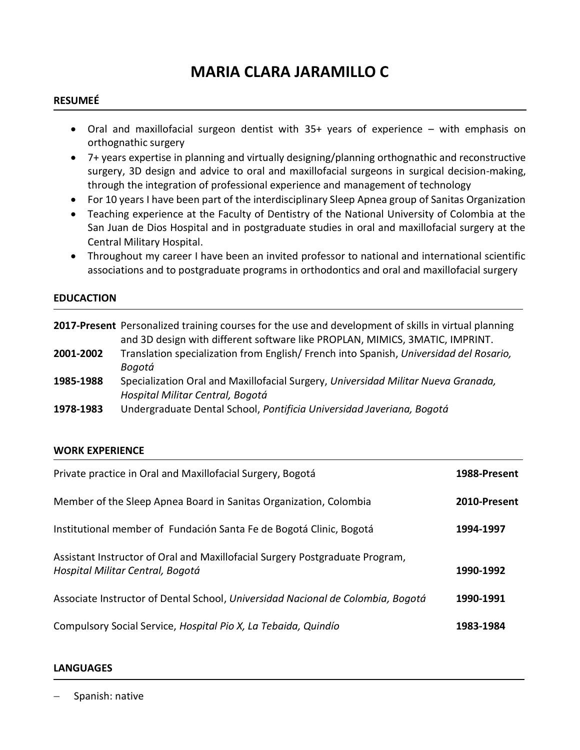# **MARIA CLARA JARAMILLO C**

## **RESUMEÉ**

- Oral and maxillofacial surgeon dentist with 35+ years of experience with emphasis on orthognathic surgery
- 7+ years expertise in planning and virtually designing/planning orthognathic and reconstructive surgery, 3D design and advice to oral and maxillofacial surgeons in surgical decision-making, through the integration of professional experience and management of technology
- For 10 years I have been part of the interdisciplinary Sleep Apnea group of Sanitas Organization
- Teaching experience at the Faculty of Dentistry of the National University of Colombia at the San Juan de Dios Hospital and in postgraduate studies in oral and maxillofacial surgery at the Central Military Hospital.
- Throughout my career I have been an invited professor to national and international scientific associations and to postgraduate programs in orthodontics and oral and maxillofacial surgery

#### **EDUCACTION**

|           | 2017-Present Personalized training courses for the use and development of skills in virtual planning |
|-----------|------------------------------------------------------------------------------------------------------|
|           | and 3D design with different software like PROPLAN, MIMICS, 3MATIC, IMPRINT.                         |
| 2001-2002 | Translation specialization from English/French into Spanish, Universidad del Rosario,                |
|           | Bogotá                                                                                               |
| 1985-1988 | Specialization Oral and Maxillofacial Surgery, Universidad Militar Nueva Granada,                    |
|           | Hospital Militar Central, Bogotá                                                                     |
| 1978-1983 | Undergraduate Dental School, Pontificia Universidad Javeriana, Boaotá                                |
|           |                                                                                                      |

#### **WORK EXPERIENCE**

| Private practice in Oral and Maxillofacial Surgery, Bogotá                                                       | 1988-Present |
|------------------------------------------------------------------------------------------------------------------|--------------|
| Member of the Sleep Apnea Board in Sanitas Organization, Colombia                                                | 2010-Present |
| Institutional member of Fundación Santa Fe de Bogotá Clinic, Bogotá                                              | 1994-1997    |
| Assistant Instructor of Oral and Maxillofacial Surgery Postgraduate Program,<br>Hospital Militar Central, Bogotá | 1990-1992    |
| Associate Instructor of Dental School, Universidad Nacional de Colombia, Bogotá                                  | 1990-1991    |
| Compulsory Social Service, Hospital Pio X, La Tebaida, Quindío                                                   | 1983-1984    |

#### **LANGUAGES**

− Spanish: native